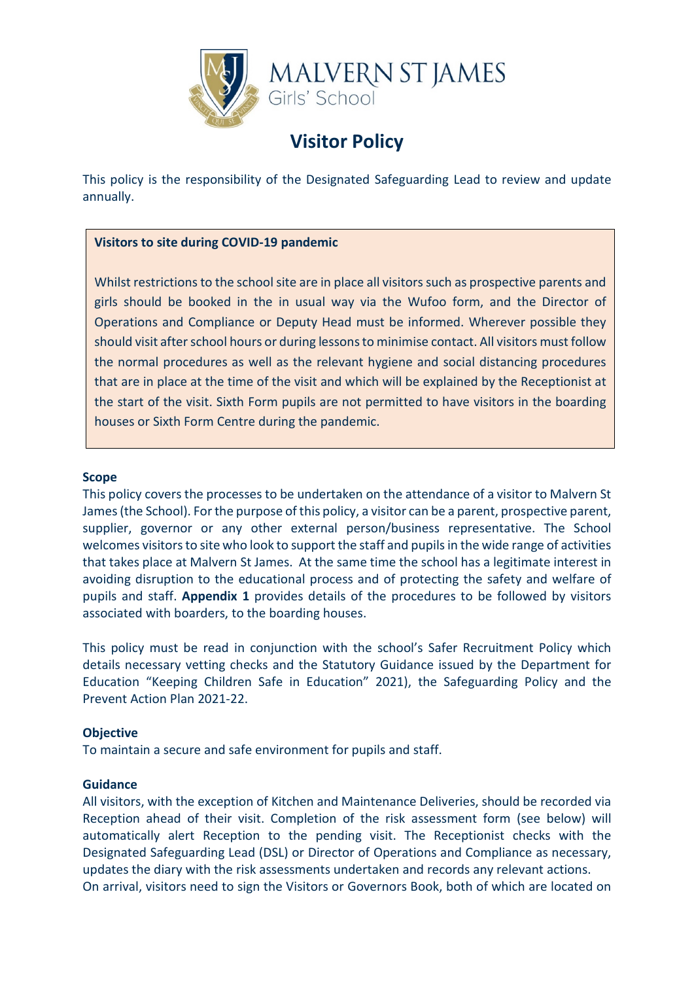

# **Visitor Policy**

This policy is the responsibility of the Designated Safeguarding Lead to review and update annually.

## **Visitors to site during COVID-19 pandemic**

Whilst restrictions to the school site are in place all visitors such as prospective parents and girls should be booked in the in usual way via the Wufoo form, and the Director of Operations and Compliance or Deputy Head must be informed. Wherever possible they should visit after school hours or during lessons to minimise contact. All visitors must follow the normal procedures as well as the relevant hygiene and social distancing procedures that are in place at the time of the visit and which will be explained by the Receptionist at the start of the visit. Sixth Form pupils are not permitted to have visitors in the boarding houses or Sixth Form Centre during the pandemic.

#### **Scope**

This policy covers the processes to be undertaken on the attendance of a visitor to Malvern St James (the School). For the purpose of this policy, a visitor can be a parent, prospective parent, supplier, governor or any other external person/business representative. The School welcomes visitors to site who look to support the staff and pupils in the wide range of activities that takes place at Malvern St James. At the same time the school has a legitimate interest in avoiding disruption to the educational process and of protecting the safety and welfare of pupils and staff. **Appendix 1** provides details of the procedures to be followed by visitors associated with boarders, to the boarding houses.

This policy must be read in conjunction with the school's Safer Recruitment Policy which details necessary vetting checks and the Statutory Guidance issued by the Department for Education "Keeping Children Safe in Education" 2021), the Safeguarding Policy and the Prevent Action Plan 2021-22.

#### **Objective**

To maintain a secure and safe environment for pupils and staff.

#### **Guidance**

All visitors, with the exception of Kitchen and Maintenance Deliveries, should be recorded via Reception ahead of their visit. Completion of the risk assessment form (see below) will automatically alert Reception to the pending visit. The Receptionist checks with the Designated Safeguarding Lead (DSL) or Director of Operations and Compliance as necessary, updates the diary with the risk assessments undertaken and records any relevant actions. On arrival, visitors need to sign the Visitors or Governors Book, both of which are located on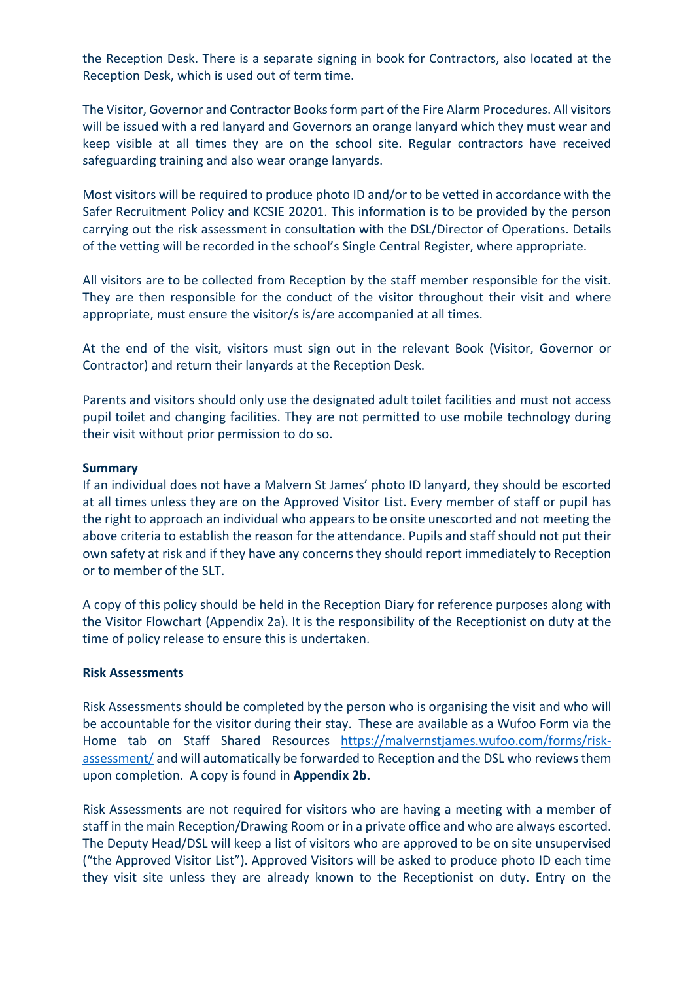the Reception Desk. There is a separate signing in book for Contractors, also located at the Reception Desk, which is used out of term time.

The Visitor, Governor and Contractor Books form part of the Fire Alarm Procedures. All visitors will be issued with a red lanyard and Governors an orange lanyard which they must wear and keep visible at all times they are on the school site. Regular contractors have received safeguarding training and also wear orange lanyards.

Most visitors will be required to produce photo ID and/or to be vetted in accordance with the Safer Recruitment Policy and KCSIE 20201. This information is to be provided by the person carrying out the risk assessment in consultation with the DSL/Director of Operations. Details of the vetting will be recorded in the school's Single Central Register, where appropriate.

All visitors are to be collected from Reception by the staff member responsible for the visit. They are then responsible for the conduct of the visitor throughout their visit and where appropriate, must ensure the visitor/s is/are accompanied at all times.

At the end of the visit, visitors must sign out in the relevant Book (Visitor, Governor or Contractor) and return their lanyards at the Reception Desk.

Parents and visitors should only use the designated adult toilet facilities and must not access pupil toilet and changing facilities. They are not permitted to use mobile technology during their visit without prior permission to do so.

#### **Summary**

If an individual does not have a Malvern St James' photo ID lanyard, they should be escorted at all times unless they are on the Approved Visitor List. Every member of staff or pupil has the right to approach an individual who appears to be onsite unescorted and not meeting the above criteria to establish the reason for the attendance. Pupils and staff should not put their own safety at risk and if they have any concerns they should report immediately to Reception or to member of the SLT.

A copy of this policy should be held in the Reception Diary for reference purposes along with the Visitor Flowchart (Appendix 2a). It is the responsibility of the Receptionist on duty at the time of policy release to ensure this is undertaken.

#### **Risk Assessments**

Risk Assessments should be completed by the person who is organising the visit and who will be accountable for the visitor during their stay. These are available as a Wufoo Form via the Home tab on Staff Shared Resources [https://malvernstjames.wufoo.com/forms/risk](https://malvernstjames.wufoo.com/forms/risk-assessment/)[assessment/](https://malvernstjames.wufoo.com/forms/risk-assessment/) and will automatically be forwarded to Reception and the DSL who reviews them upon completion. A copy is found in **Appendix 2b.**

Risk Assessments are not required for visitors who are having a meeting with a member of staff in the main Reception/Drawing Room or in a private office and who are always escorted. The Deputy Head/DSL will keep a list of visitors who are approved to be on site unsupervised ("the Approved Visitor List"). Approved Visitors will be asked to produce photo ID each time they visit site unless they are already known to the Receptionist on duty. Entry on the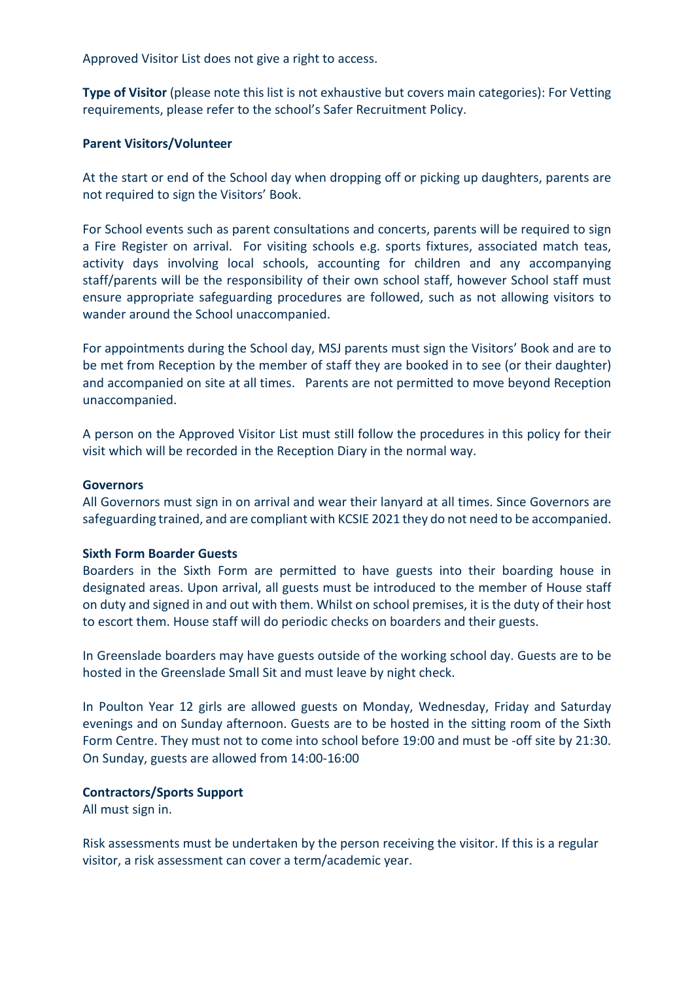Approved Visitor List does not give a right to access.

**Type of Visitor** (please note this list is not exhaustive but covers main categories): For Vetting requirements, please refer to the school's Safer Recruitment Policy.

#### **Parent Visitors/Volunteer**

At the start or end of the School day when dropping off or picking up daughters, parents are not required to sign the Visitors' Book.

For School events such as parent consultations and concerts, parents will be required to sign a Fire Register on arrival. For visiting schools e.g. sports fixtures, associated match teas, activity days involving local schools, accounting for children and any accompanying staff/parents will be the responsibility of their own school staff, however School staff must ensure appropriate safeguarding procedures are followed, such as not allowing visitors to wander around the School unaccompanied.

For appointments during the School day, MSJ parents must sign the Visitors' Book and are to be met from Reception by the member of staff they are booked in to see (or their daughter) and accompanied on site at all times. Parents are not permitted to move beyond Reception unaccompanied.

A person on the Approved Visitor List must still follow the procedures in this policy for their visit which will be recorded in the Reception Diary in the normal way.

#### **Governors**

All Governors must sign in on arrival and wear their lanyard at all times. Since Governors are safeguarding trained, and are compliant with KCSIE 2021 they do not need to be accompanied.

#### **Sixth Form Boarder Guests**

Boarders in the Sixth Form are permitted to have guests into their boarding house in designated areas. Upon arrival, all guests must be introduced to the member of House staff on duty and signed in and out with them. Whilst on school premises, it is the duty of their host to escort them. House staff will do periodic checks on boarders and their guests.

In Greenslade boarders may have guests outside of the working school day. Guests are to be hosted in the Greenslade Small Sit and must leave by night check.

In Poulton Year 12 girls are allowed guests on Monday, Wednesday, Friday and Saturday evenings and on Sunday afternoon. Guests are to be hosted in the sitting room of the Sixth Form Centre. They must not to come into school before 19:00 and must be -off site by 21:30. On Sunday, guests are allowed from 14:00-16:00

#### **Contractors/Sports Support**

All must sign in.

Risk assessments must be undertaken by the person receiving the visitor. If this is a regular visitor, a risk assessment can cover a term/academic year.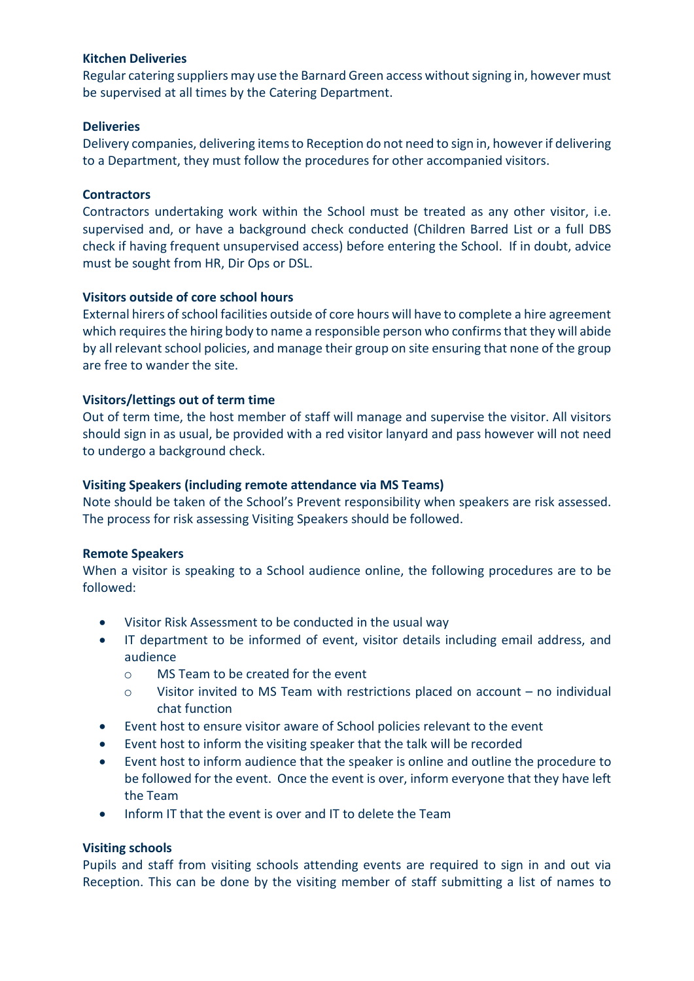#### **Kitchen Deliveries**

Regular catering suppliers may use the Barnard Green access without signing in, however must be supervised at all times by the Catering Department.

### **Deliveries**

Delivery companies, delivering items to Reception do not need to sign in, however if delivering to a Department, they must follow the procedures for other accompanied visitors.

## **Contractors**

Contractors undertaking work within the School must be treated as any other visitor, i.e. supervised and, or have a background check conducted (Children Barred List or a full DBS check if having frequent unsupervised access) before entering the School. If in doubt, advice must be sought from HR, Dir Ops or DSL.

## **Visitors outside of core school hours**

External hirers of school facilities outside of core hours will have to complete a hire agreement which requires the hiring body to name a responsible person who confirms that they will abide by all relevant school policies, and manage their group on site ensuring that none of the group are free to wander the site.

## **Visitors/lettings out of term time**

Out of term time, the host member of staff will manage and supervise the visitor. All visitors should sign in as usual, be provided with a red visitor lanyard and pass however will not need to undergo a background check.

## **Visiting Speakers (including remote attendance via MS Teams)**

Note should be taken of the School's Prevent responsibility when speakers are risk assessed. The process for risk assessing Visiting Speakers should be followed.

#### **Remote Speakers**

When a visitor is speaking to a School audience online, the following procedures are to be followed:

- Visitor Risk Assessment to be conducted in the usual way
- IT department to be informed of event, visitor details including email address, and audience
	- o MS Team to be created for the event
	- $\circ$  Visitor invited to MS Team with restrictions placed on account no individual chat function
- Event host to ensure visitor aware of School policies relevant to the event
- Event host to inform the visiting speaker that the talk will be recorded
- Event host to inform audience that the speaker is online and outline the procedure to be followed for the event. Once the event is over, inform everyone that they have left the Team
- Inform IT that the event is over and IT to delete the Team

## **Visiting schools**

Pupils and staff from visiting schools attending events are required to sign in and out via Reception. This can be done by the visiting member of staff submitting a list of names to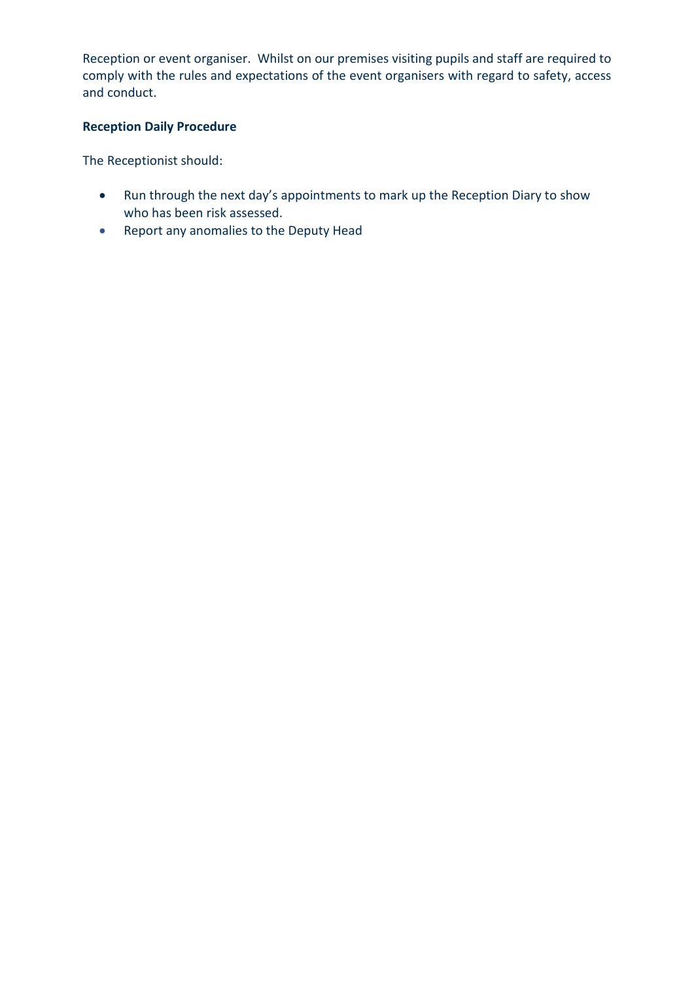Reception or event organiser. Whilst on our premises visiting pupils and staff are required to comply with the rules and expectations of the event organisers with regard to safety, access and conduct.

## **Reception Daily Procedure**

The Receptionist should:

- Run through the next day's appointments to mark up the Reception Diary to show who has been risk assessed.
- Report any anomalies to the Deputy Head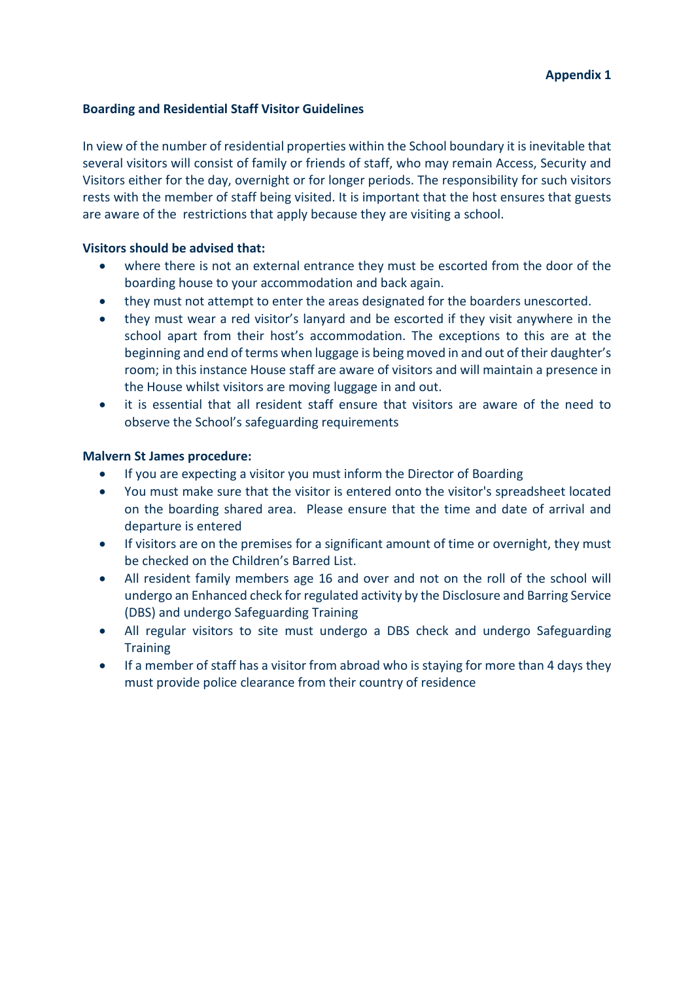### **Boarding and Residential Staff Visitor Guidelines**

In view of the number of residential properties within the School boundary it is inevitable that several visitors will consist of family or friends of staff, who may remain Access, Security and Visitors either for the day, overnight or for longer periods. The responsibility for such visitors rests with the member of staff being visited. It is important that the host ensures that guests are aware of the restrictions that apply because they are visiting a school.

## **Visitors should be advised that:**

- where there is not an external entrance they must be escorted from the door of the boarding house to your accommodation and back again.
- they must not attempt to enter the areas designated for the boarders unescorted.
- they must wear a red visitor's lanyard and be escorted if they visit anywhere in the school apart from their host's accommodation. The exceptions to this are at the beginning and end of terms when luggage is being moved in and out of their daughter's room; in this instance House staff are aware of visitors and will maintain a presence in the House whilst visitors are moving luggage in and out.
- it is essential that all resident staff ensure that visitors are aware of the need to observe the School's safeguarding requirements

## **Malvern St James procedure:**

- If you are expecting a visitor you must inform the Director of Boarding
- You must make sure that the visitor is entered onto the visitor's spreadsheet located on the boarding shared area. Please ensure that the time and date of arrival and departure is entered
- If visitors are on the premises for a significant amount of time or overnight, they must be checked on the Children's Barred List.
- All resident family members age 16 and over and not on the roll of the school will undergo an Enhanced check for regulated activity by the Disclosure and Barring Service (DBS) and undergo Safeguarding Training
- All regular visitors to site must undergo a DBS check and undergo Safeguarding **Training**
- If a member of staff has a visitor from abroad who is staying for more than 4 days they must provide police clearance from their country of residence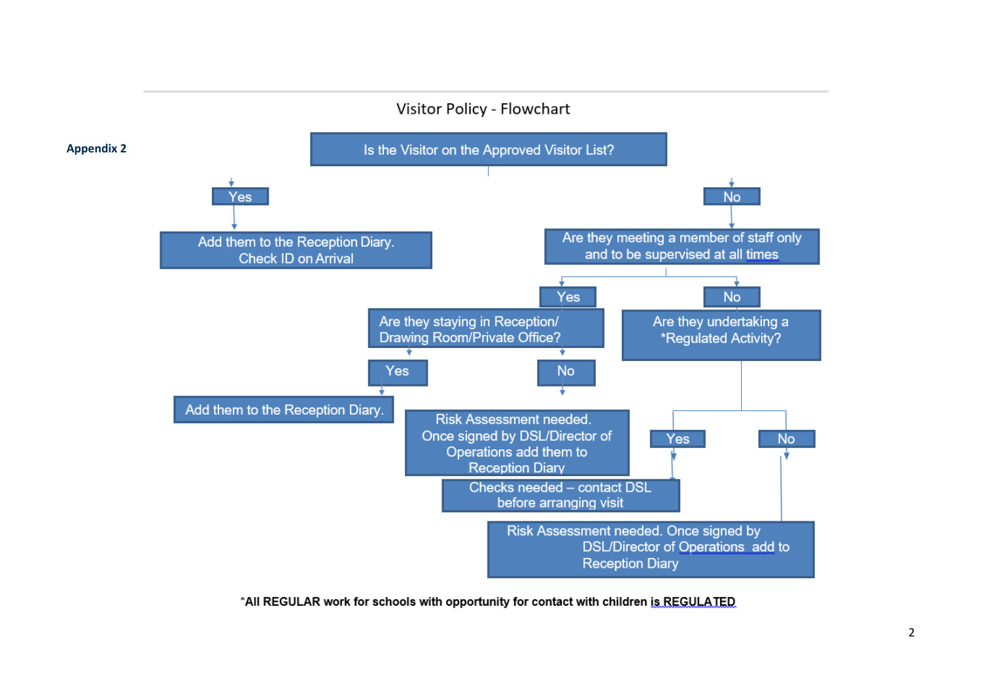

\*All REGULAR work for schools with opportunity for contact with children is REGULATED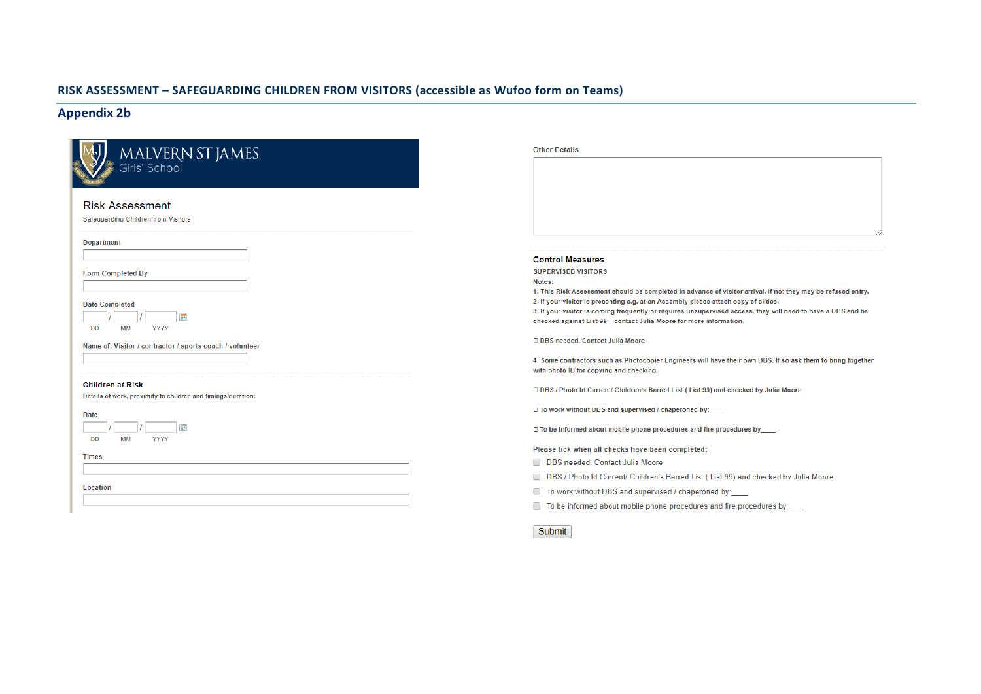#### **RISK ASSESSMENT – SAFEGUARDING CHILDREN FROM VISITORS (accessible as Wufoo form on Teams)**

#### **Appendix 2b**

**Service** 

| <b>Other Details</b>                                                                                                                                                                               |
|----------------------------------------------------------------------------------------------------------------------------------------------------------------------------------------------------|
|                                                                                                                                                                                                    |
|                                                                                                                                                                                                    |
| <b>Control Measures</b><br><b>SUPERVISED VISITORS</b><br>Notes:<br>1. This Risk Assessment sh<br>2. If your visitor is presentir<br>3. If your visitor is coming f<br>checked against List 99 - co |
| □ DBS needed, Contact Juli                                                                                                                                                                         |
| 4. Some contractors such a<br>with photo ID for copying an                                                                                                                                         |
| D DBS / Photo Id Current/ C                                                                                                                                                                        |
| □ To work without DBS and                                                                                                                                                                          |
| □ To be informed about mol                                                                                                                                                                         |
| Please tick when all chec<br><b>DBS</b> needed. Contact<br>DBS / Photo Id Curre<br>To work without DBS                                                                                             |
|                                                                                                                                                                                                    |

hould be completed in advance of visitor arrival. If not they may be refused entry.

ng e.g. at an Assembly please attach copy of slides.

frequently or requires unsupervised access, they will need to have a DBS and be contact Julia Moore for more information.

lia Moore

as Photocopier Engineers will have their own DBS. If so ask them to bring together and checking.

Children's Barred List ( List 99) and checked by Julia Moore

supervised / chaperoned by:\_\_\_

bile phone procedures and fire procedures by\_\_\_\_

cks have been completed:

Julia Moore

ent/ Children's Barred List (List 99) and checked by Julia Moore

and supervised / chaperoned by:

t mobile phone procedures and fire procedures by **the set of the set** 

Submit